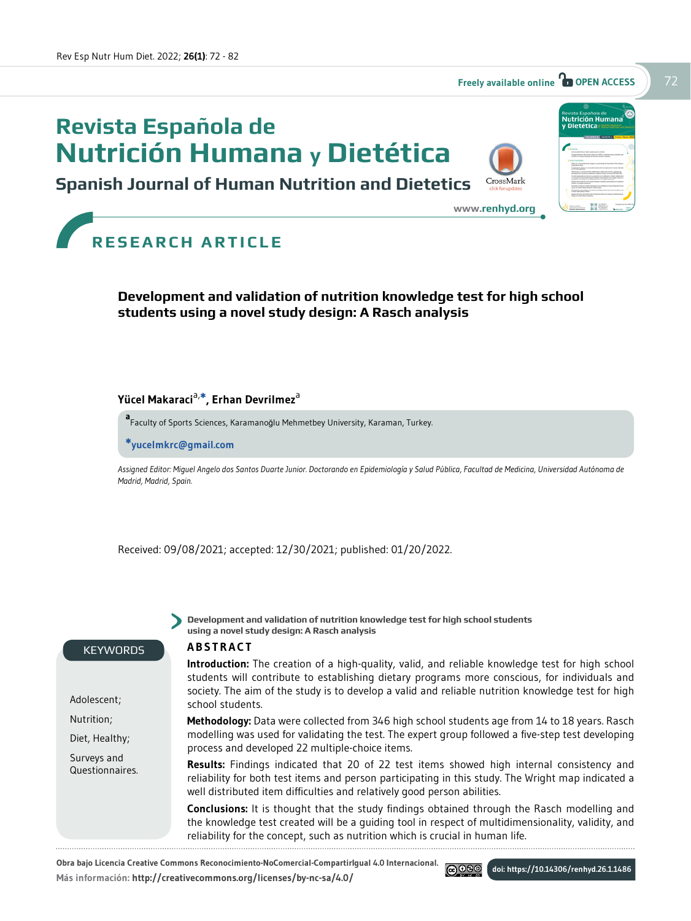# **Revista Española de Nutrición Humana y Dietética**





**<www.renhyd.org>**



**RESEARCH ARTICLE**

# **Development and validation of nutrition knowledge test for high school students using a novel study design: A Rasch analysis**

### **Yücel Makaraci**a,**\*, Erhan Devrilmez**<sup>a</sup>

**a** Faculty of Sports Sciences, Karamanoğlu Mehmetbey University, Karaman, Turkey.

**\*yucelmkrc@gmail.com**

*Assigned Editor: Miguel Angelo dos Santos Duarte Junior. Doctorando en Epidemiología y Salud Pública, Facultad de Medicina, Universidad Autónoma de Madrid, Madrid, Spain.* 

**Development and validation of nutrition knowledge test for high school students** 

Received: 09/08/2021; accepted: 12/30/2021; published: 01/20/2022.

**using a novel study design: A Rasch analysis**

#### **KEYWORDS**

Adolescent; Nutrition; Diet, Healthy; Surveys and Questionnaires.

#### **ABSTRACT**

**Introduction:** The creation of a high-quality, valid, and reliable knowledge test for high school students will contribute to establishing dietary programs more conscious, for individuals and society. The aim of the study is to develop a valid and reliable nutrition knowledge test for high school students.

**Methodology:** Data were collected from 346 high school students age from 14 to 18 years. Rasch modelling was used for validating the test. The expert group followed a five-step test developing process and developed 22 multiple-choice items.

**Results:** Findings indicated that 20 of 22 test items showed high internal consistency and reliability for both test items and person participating in this study. The Wright map indicated a well distributed item difficulties and relatively good person abilities.

**Conclusions:** It is thought that the study findings obtained through the Rasch modelling and the knowledge test created will be a guiding tool in respect of multidimensionality, validity, and reliability for the concept, such as nutrition which is crucial in human life.

@080

**Obra bajo Licencia Creative Commons Reconocimiento-NoComercial-CompartirIgual 4.0 Internacional. Más información: <http://creativecommons.org/licenses/by>-nc-sa/4.0/**

**doi: https://10.14306/renhyd.26.1.1486**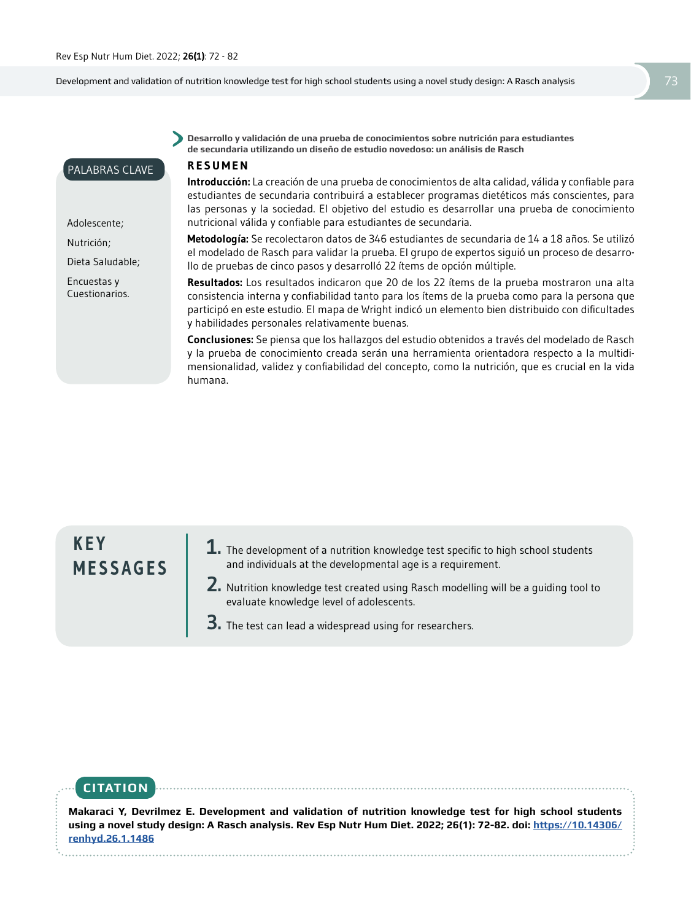PALABRAS CLAVE

Adolescente; Nutrición;

Dieta Saludable; Encuestas y Cuestionarios.

Development and validation of nutrition knowledge test for high school students using a novel study design: A Rasch analysis 73

**Desarrollo y validación de una prueba de conocimientos sobre nutrición para estudiantes de secundaria utilizando un diseño de estudio novedoso: un análisis de Rasch** 

#### **RESUMEN**

**Introducción:** La creación de una prueba de conocimientos de alta calidad, válida y confiable para estudiantes de secundaria contribuirá a establecer programas dietéticos más conscientes, para las personas y la sociedad. El objetivo del estudio es desarrollar una prueba de conocimiento nutricional válida y confiable para estudiantes de secundaria.

**Metodología:** Se recolectaron datos de 346 estudiantes de secundaria de 14 a 18 años. Se utilizó el modelado de Rasch para validar la prueba. El grupo de expertos siguió un proceso de desarrollo de pruebas de cinco pasos y desarrolló 22 ítems de opción múltiple.

**Resultados:** Los resultados indicaron que 20 de los 22 ítems de la prueba mostraron una alta consistencia interna y confiabilidad tanto para los ítems de la prueba como para la persona que participó en este estudio. El mapa de Wright indicó un elemento bien distribuido con dificultades y habilidades personales relativamente buenas.

**Conclusiones:** Se piensa que los hallazgos del estudio obtenidos a través del modelado de Rasch y la prueba de conocimiento creada serán una herramienta orientadora respecto a la multidimensionalidad, validez y confiabilidad del concepto, como la nutrición, que es crucial en la vida humana.

**K E Y MESSAGES**

- **1.** The development of a nutrition knowledge test specific to high school students and individuals at the developmental age is a requirement.
- **2.** Nutrition knowledge test created using Rasch modelling will be a guiding tool to evaluate knowledge level of adolescents.

**3.** The test can lead a widespread using for researchers.

# **CITATION**

**Makaraci Y, Devrilmez E. Development and validation of nutrition knowledge test for high school students [using a novel study design: A Rasch analysis. Rev Esp Nutr Hum Diet. 2022; 26\(1\): 72-82.](https://10.14306/renhyd.26.1.1486) doi: https://10.14306/ renhyd.26.1.1486**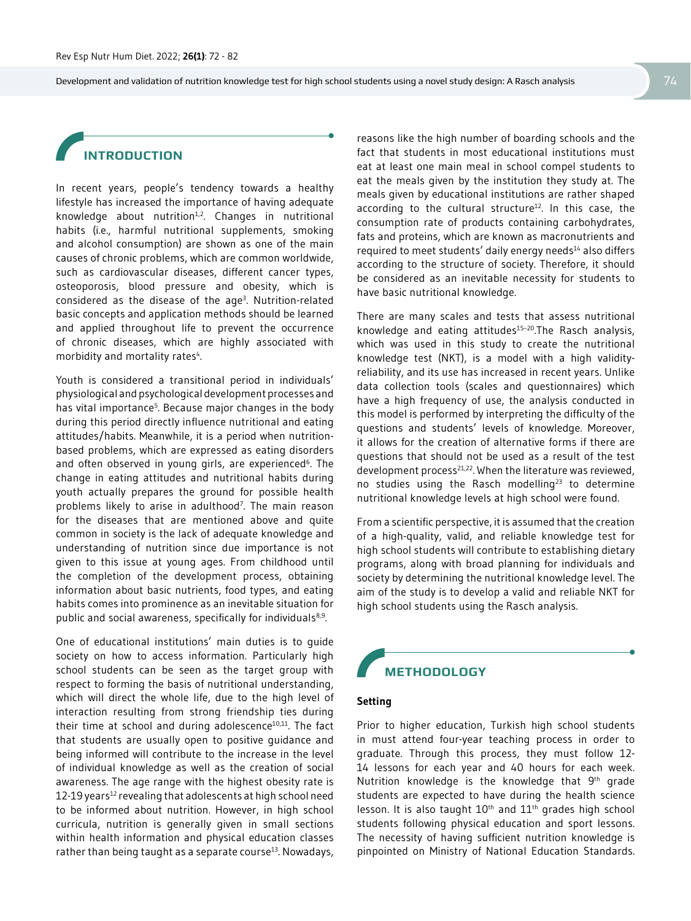# **INTRODUCTION**

In recent years, people's tendency towards a healthy lifestyle has increased the importance of having adequate knowledge about nutrition $1/2$ . Changes in nutritional habits (i.e., harmful nutritional supplements, smoking and alcohol consumption) are shown as one of the main causes of chronic problems, which are common worldwide, such as cardiovascular diseases, different cancer types, osteoporosis, blood pressure and obesity, which is considered as the disease of the age<sup>3</sup>. Nutrition-related basic concepts and application methods should be learned and applied throughout life to prevent the occurrence of chronic diseases, which are highly associated with morbidity and mortality rates<sup>4</sup>. .

Youth is considered a transitional period in individuals' physiological and psychological development processes and has vital importance<sup>5</sup>. Because major changes in the body during this period directly influence nutritional and eating attitudes/habits. Meanwhile, it is a period when nutritionbased problems, which are expressed as eating disorders and often observed in young girls, are experienced<sup>6</sup>. The change in eating attitudes and nutritional habits during youth actually prepares the ground for possible health problems likely to arise in adulthood<sup>7</sup>. The main reason for the diseases that are mentioned above and quite common in society is the lack of adequate knowledge and understanding of nutrition since due importance is not given to this issue at young ages. From childhood until the completion of the development process, obtaining information about basic nutrients, food types, and eating habits comes into prominence as an inevitable situation for public and social awareness, specifically for individuals<sup>8,9</sup>.

One of educational institutions' main duties is to guide society on how to access information. Particularly high school students can be seen as the target group with respect to forming the basis of nutritional understanding, which will direct the whole life, due to the high level of interaction resulting from strong friendship ties during their time at school and during adolescence $10,11$ . The fact that students are usually open to positive guidance and being informed will contribute to the increase in the level of individual knowledge as well as the creation of social awareness. The age range with the highest obesity rate is 12-19 years<sup>12</sup> revealing that adolescents at high school need to be informed about nutrition. However, in high school curricula, nutrition is generally given in small sections within health information and physical education classes rather than being taught as a separate course<sup>13</sup>. Nowadays,

reasons like the high number of boarding schools and the fact that students in most educational institutions must eat at least one main meal in school compel students to eat the meals given by the institution they study at. The meals given by educational institutions are rather shaped according to the cultural structure<sup>12</sup>. In this case, the consumption rate of products containing carbohydrates, fats and proteins, which are known as macronutrients and required to meet students' daily energy needs<sup>14</sup> also differs according to the structure of society. Therefore, it should be considered as an inevitable necessity for students to have basic nutritional knowledge.

There are many scales and tests that assess nutritional knowledge and eating attitudes<sup>15-20</sup>. The Rasch analysis, which was used in this study to create the nutritional knowledge test (NKT), is a model with a high validityreliability, and its use has increased in recent years. Unlike data collection tools (scales and questionnaires) which have a high frequency of use, the analysis conducted in this model is performed by interpreting the difficulty of the questions and students' levels of knowledge. Moreover, it allows for the creation of alternative forms if there are questions that should not be used as a result of the test development process<sup>21,22</sup>. When the literature was reviewed, no studies using the Rasch modelling<sup>23</sup> to determine nutritional knowledge levels at high school were found.

From a scientific perspective, it is assumed that the creation of a high-quality, valid, and reliable knowledge test for high school students will contribute to establishing dietary programs, along with broad planning for individuals and society by determining the nutritional knowledge level. The aim of the study is to develop a valid and reliable NKT for high school students using the Rasch analysis.

# **METHODOLOGY**

### **Setting**

Prior to higher education, Turkish high school students in must attend four-year teaching process in order to graduate. Through this process, they must follow 12- 14 lessons for each year and 40 hours for each week. Nutrition knowledge is the knowledge that 9<sup>th</sup> grade students are expected to have during the health science lesson. It is also taught 10<sup>th</sup> and 11<sup>th</sup> grades high school students following physical education and sport lessons. The necessity of having sufficient nutrition knowledge is pinpointed on Ministry of National Education Standards.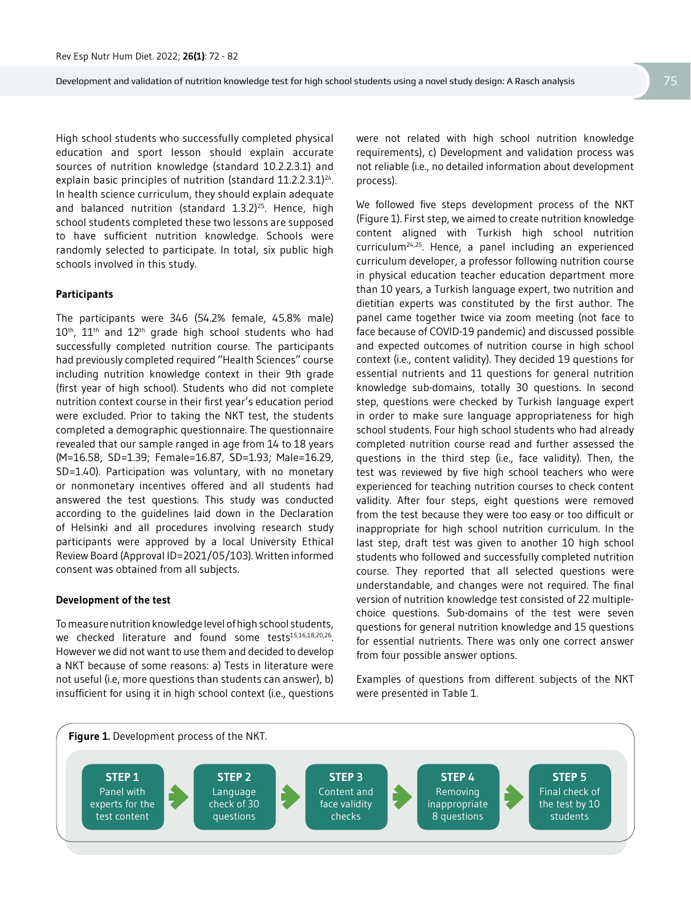High school students who successfully completed physical education and sport lesson should explain accurate sources of nutrition knowledge (standard 10.2.2.3.1) and explain basic principles of nutrition (standard 11.2.2.3.1)<sup>24</sup>. In health science curriculum, they should explain adequate and balanced nutrition (standard 1.3.2)<sup>25</sup>. Hence, high school students completed these two lessons are supposed to have sufficient nutrition knowledge. Schools were randomly selected to participate. In total, six public high schools involved in this study.

#### **Participants**

The participants were 346 (54.2% female, 45.8% male) 10<sup>th</sup>, 11<sup>th</sup> and 12<sup>th</sup> grade high school students who had successfully completed nutrition course. The participants had previously completed required "Health Sciences" course including nutrition knowledge context in their 9th grade (first year of high school). Students who did not complete nutrition context course in their first year's education period were excluded. Prior to taking the NKT test, the students completed a demographic questionnaire. The questionnaire revealed that our sample ranged in age from 14 to 18 years (M=16.58, SD=1.39; Female=16.87, SD=1.93; Male=16.29, SD=1.40). Participation was voluntary, with no monetary or nonmonetary incentives offered and all students had answered the test questions. This study was conducted according to the guidelines laid down in the Declaration of Helsinki and all procedures involving research study participants were approved by a local University Ethical Review Board (Approval ID=2021/05/103). Written informed consent was obtained from all subjects.

#### **Development of the test**

To measure nutrition knowledge level of high school students, we checked literature and found some tests<sup>15,16,18,20,26</sup>. However we did not want to use them and decided to develop a NKT because of some reasons: a) Tests in literature were not useful (i.e, more questions than students can answer), b) insufficient for using it in high school context (i.e., questions

were not related with high school nutrition knowledge requirements), c) Development and validation process was not reliable (i.e., no detailed information about development process).

We followed five steps development process of the NKT (Figure 1). First step, we aimed to create nutrition knowledge content aligned with Turkish high school nutrition curriculum24,25. Hence, a panel including an experienced curriculum developer, a professor following nutrition course in physical education teacher education department more than 10 years, a Turkish language expert, two nutrition and dietitian experts was constituted by the first author. The panel came together twice via zoom meeting (not face to face because of COVID-19 pandemic) and discussed possible and expected outcomes of nutrition course in high school context (i.e., content validity). They decided 19 questions for essential nutrients and 11 questions for general nutrition knowledge sub-domains, totally 30 questions. In second step, questions were checked by Turkish language expert in order to make sure language appropriateness for high school students. Four high school students who had already completed nutrition course read and further assessed the questions in the third step (i.e., face validity). Then, the test was reviewed by five high school teachers who were experienced for teaching nutrition courses to check content validity. After four steps, eight questions were removed from the test because they were too easy or too difficult or inappropriate for high school nutrition curriculum. In the last step, draft test was given to another 10 high school students who followed and successfully completed nutrition course. They reported that all selected questions were understandable, and changes were not required. The final version of nutrition knowledge test consisted of 22 multiplechoice questions. Sub-domains of the test were seven questions for general nutrition knowledge and 15 questions for essential nutrients. There was only one correct answer from four possible answer options.

Examples of questions from different subjects of the NKT were presented in Table 1.

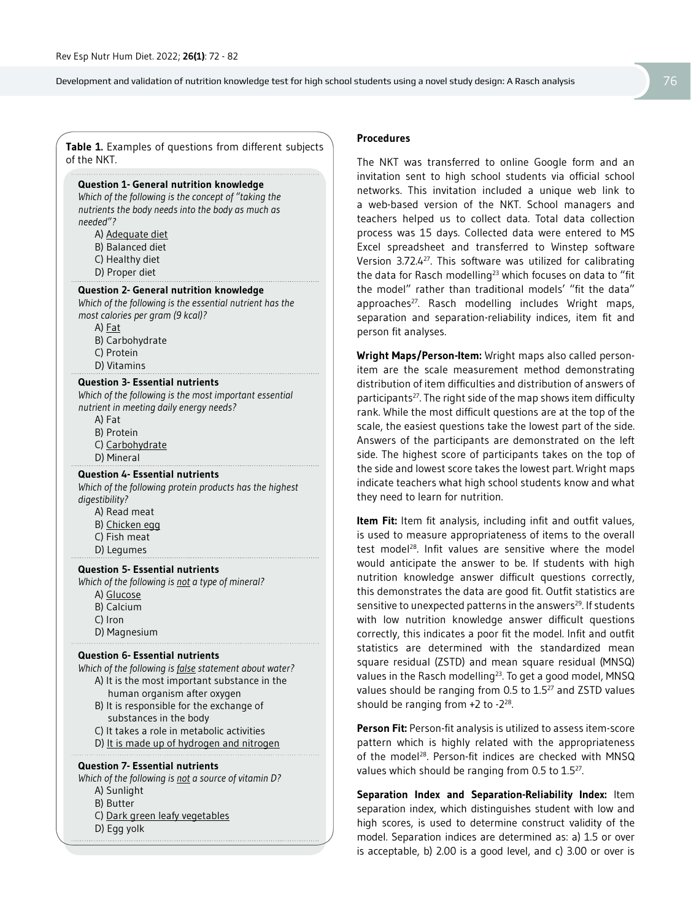**Table 1.** Examples of questions from different subjects of the NKT.

### **Question 1- General nutrition knowledge**

*Which of the following is the concept of "taking the nutrients the body needs into the body as much as needed"?*

- A) Adequate diet
- B) Balanced diet
- C) Healthy diet
- D) Proper diet

#### **Question 2- General nutrition knowledge**

*Which of the following is the essential nutrient has the most calories per gram (9 kcal)?*

A) Fat

- B) Carbohydrate
- C) Protein
- D) Vitamins

#### **Question 3- Essential nutrients**

*Which of the following is the most important essential nutrient in meeting daily energy needs?*

- A) Fat
- B) Protein
- C) Carbohydrate
- D) Mineral

#### **Question 4- Essential nutrients**

*Which of the following protein products has the highest digestibility?*

- A) Read meat
- B) Chicken egg
- C) Fish meat
- D) Legumes

#### **Question 5- Essential nutrients**

*Which of the following is not a type of mineral?*

- A) Glucose
- B) Calcium
- C) Iron
- D) Magnesium

#### **Question 6- Essential nutrients**

- *Which of the following is false statement about water?* A) It is the most important substance in the
	- human organism after oxygen
	- B) It is responsible for the exchange of substances in the body
	- C) It takes a role in metabolic activities
	- D) It is made up of hydrogen and nitrogen

#### **Question 7- Essential nutrients**

*Which of the following is not a source of vitamin D?*

- A) Sunlight
- B) Butter
- C) Dark green leafy vegetables
- D) Egg yolk

#### **Procedures**

The NKT was transferred to online Google form and an invitation sent to high school students via official school networks. This invitation included a unique web link to a web-based version of the NKT. School managers and teachers helped us to collect data. Total data collection process was 15 days. Collected data were entered to MS Excel spreadsheet and transferred to Winstep software Version 3.72.427. This software was utilized for calibrating the data for Rasch modelling<sup>23</sup> which focuses on data to "fit the model" rather than traditional models' "fit the data" approaches<sup>27</sup>. Rasch modelling includes Wright maps, separation and separation-reliability indices, item fit and person fit analyses.

**Wright Maps/Person-Item:** Wright maps also called personitem are the scale measurement method demonstrating distribution of item difficulties and distribution of answers of participants<sup>27</sup>. The right side of the map shows item difficulty rank. While the most difficult questions are at the top of the scale, the easiest questions take the lowest part of the side. Answers of the participants are demonstrated on the left side. The highest score of participants takes on the top of the side and lowest score takes the lowest part. Wright maps indicate teachers what high school students know and what they need to learn for nutrition.

**Item Fit:** Item fit analysis, including infit and outfit values, is used to measure appropriateness of items to the overall test model<sup>28</sup>. Infit values are sensitive where the model would anticipate the answer to be. If students with high nutrition knowledge answer difficult questions correctly, this demonstrates the data are good fit. Outfit statistics are sensitive to unexpected patterns in the answers<sup>29</sup>. If students with low nutrition knowledge answer difficult questions correctly, this indicates a poor fit the model. Infit and outfit statistics are determined with the standardized mean square residual (ZSTD) and mean square residual (MNSQ) values in the Rasch modelling<sup>23</sup>. To get a good model, MNSQ values should be ranging from 0.5 to 1.527 and ZSTD values should be ranging from +2 to -228.

**Person Fit:** Person-fit analysis is utilized to assess item-score pattern which is highly related with the appropriateness of the model<sup>28</sup>. Person-fit indices are checked with MNSQ values which should be ranging from 0.5 to 1.5<sup>27</sup>.

**Separation Index and Separation-Reliability Index:** Item separation index, which distinguishes student with low and high scores, is used to determine construct validity of the model. Separation indices are determined as: a) 1.5 or over is acceptable, b) 2.00 is a good level, and c) 3.00 or over is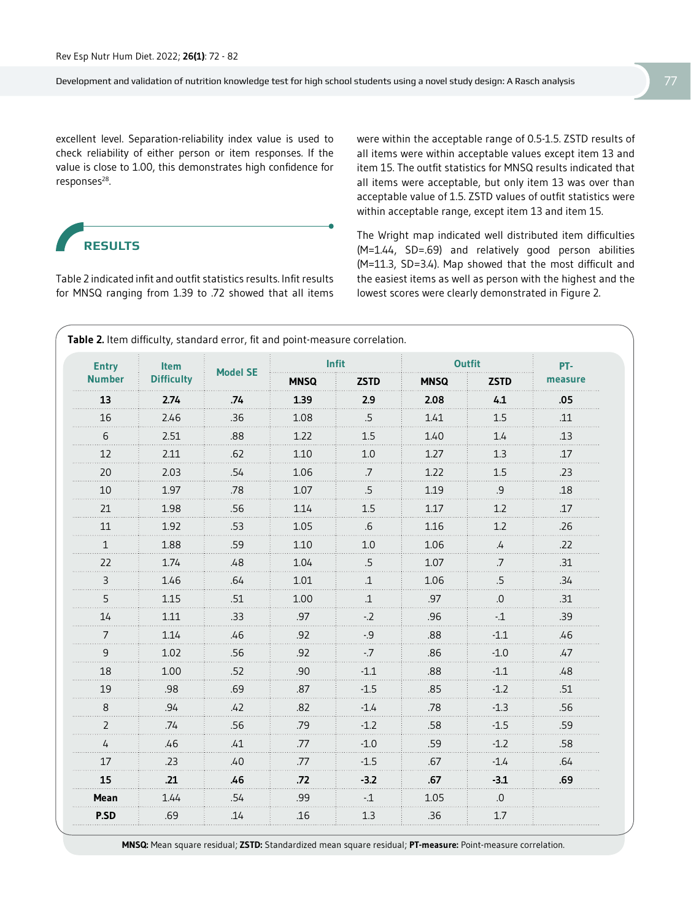excellent level. Separation-reliability index value is used to check reliability of either person or item responses. If the value is close to 1.00, this demonstrates high confidence for responses<sup>28</sup>.

# **RESULTS**

Table 2 indicated infit and outfit statistics results. Infit results for MNSQ ranging from 1.39 to .72 showed that all items were within the acceptable range of 0.5-1.5. ZSTD results of all items were within acceptable values except item 13 and item 15. The outfit statistics for MNSQ results indicated that all items were acceptable, but only item 13 was over than acceptable value of 1.5. ZSTD values of outfit statistics were within acceptable range, except item 13 and item 15.

The Wright map indicated well distributed item difficulties (M=1.44, SD=.69) and relatively good person abilities (M=11.3, SD=3.4). Map showed that the most difficult and the easiest items as well as person with the highest and the lowest scores were clearly demonstrated in Figure 2.

| <b>Entry</b>  | Item              | <b>Model SE</b> | Infit       |              | <b>Outfit</b> |                   | PT-     |
|---------------|-------------------|-----------------|-------------|--------------|---------------|-------------------|---------|
| <b>Number</b> | <b>Difficulty</b> |                 | <b>MNSQ</b> | <b>ZSTD</b>  | <b>MNSQ</b>   | <b>ZSTD</b>       | measure |
| 13            | 2.74              | .74             | 1.39        | 2.9          | 2.08          | 4.1               | .05     |
| 16            | 2.46              | .36             | 1.08        | .5           | 1.41          | 1.5               | .11     |
| 6             | 2.51              | .88             | 1.22        | 1.5          | 1.40          | 1.4               | .13     |
| 12            | 2.11              | .62             | 1.10        | 1.0          | 1.27          | 1.3               | .17     |
| 20            | 2.03              | .54             | 1.06        | .7           | 1.22          | 1.5               | .23     |
| 10            | 1.97              | .78             | 1.07        | .5           | 1.19          | .9                | .18     |
| 21            | 1.98              | .56             | 1.14        | 1.5          | 1.17          | 1.2               | .17     |
| 11            | 1.92              | .53             | 1.05        | .6           | 1.16          | 1.2               | .26     |
| $\mathbf{1}$  | 1.88              | .59             | 1.10        | 1.0          | 1.06          | $\mathcal{L}_{+}$ | .22     |
| 22            | 1.74              | .48             | 1.04        | .5           | 1.07          | .7                | .31     |
| 3             | 1.46              | .64             | 1.01        | $\mathbf{1}$ | 1.06          | .5                | .34     |
| 5             | 1.15              | .51             | 1.00        | $\mathbf{1}$ | .97           | 0.                | .31     |
| 14            | 1.11              | .33             | .97         | $-2$         | .96           | $-1$              | .39     |
| 7<br>.        | 1.14              | .46             | .92         | $-9$         | .88           | $-1.1$            | .46     |
| 9             | 1.02              | .56             | .92         | $-7$         | .86           | $-1.0$            | .47     |
| 18            | 1.00              | .52             | .90         | $-1.1$       | .88           | $-1.1$            | .48     |
| 19            | .98               | .69             | .87         | $-1.5$       | .85           | $-1.2$            | .51     |
| 8             | .94               | .42             | .82         | $-1.4$       | .78           | $-1.3$<br>.       | .56     |
| 2             | .74               | .56             | .79         | $-1.2$       | .58           | $-1.5$            | .59     |
| 4             | .46               | .41             | .77         | $-1.0$       | .59           | $-1.2$            | .58     |
| 17            | .23               | .40             | .77         | $-1.5$       | .67           | $-1.4$            | .64     |
| 15            | .21               | .46             | .72         | $-3.2$       | .67           | $-3.1$            | .69     |
| Mean          | 1.44              | .54             | .99         | $-1$         | 1.05          | .0                |         |
| P.SD          | .69               | .14             | .16         | 1.3          | .36           | 1.7               |         |

**MNSQ:** Mean square residual; **ZSTD:** Standardized mean square residual; **PT-measure:** Point-measure correlation.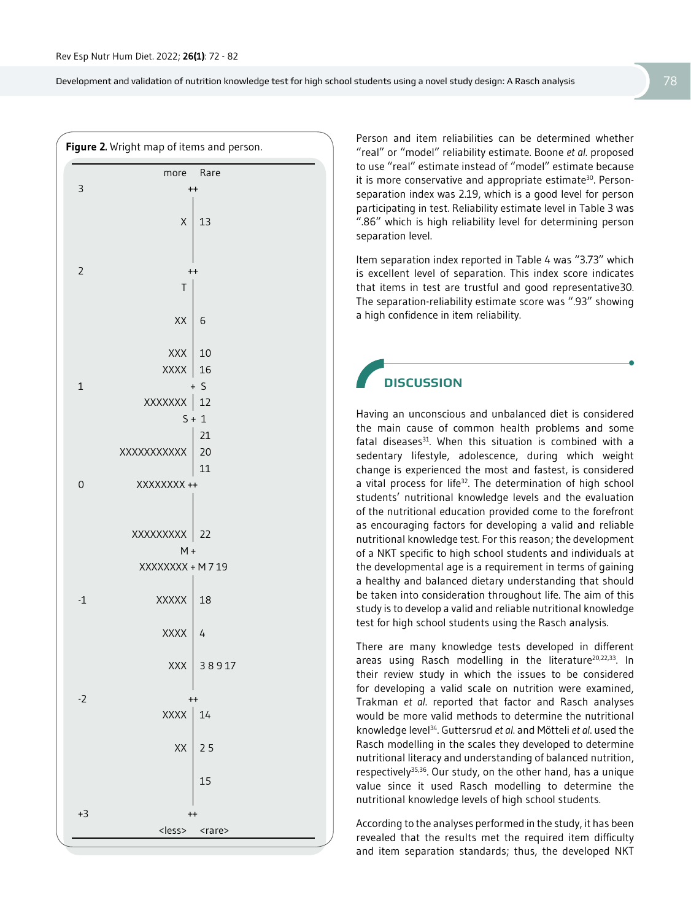

Person and item reliabilities can be determined whether "real" or "model" reliability estimate. Boone *et al*. proposed to use "real" estimate instead of "model" estimate because it is more conservative and appropriate estimate<sup>30</sup>. Personseparation index was 2.19, which is a good level for person participating in test. Reliability estimate level in Table 3 was ".86" which is high reliability level for determining person separation level.

Item separation index reported in Table 4 was "3.73" which is excellent level of separation. This index score indicates that items in test are trustful and good representative30. The separation-reliability estimate score was ".93" showing a high confidence in item reliability.

## **DISCUSSION**

Having an unconscious and unbalanced diet is considered the main cause of common health problems and some fatal diseases $31$ . When this situation is combined with a sedentary lifestyle, adolescence, during which weight change is experienced the most and fastest, is considered a vital process for life<sup>32</sup>. The determination of high school students' nutritional knowledge levels and the evaluation of the nutritional education provided come to the forefront as encouraging factors for developing a valid and reliable nutritional knowledge test. For this reason; the development of a NKT specific to high school students and individuals at the developmental age is a requirement in terms of gaining a healthy and balanced dietary understanding that should be taken into consideration throughout life. The aim of this study is to develop a valid and reliable nutritional knowledge test for high school students using the Rasch analysis.

There are many knowledge tests developed in different areas using Rasch modelling in the literature<sup>20,22,33</sup>. In their review study in which the issues to be considered for developing a valid scale on nutrition were examined, Trakman *et al*. reported that factor and Rasch analyses would be more valid methods to determine the nutritional knowledge level34. Guttersrud *et al*. and Mötteli *et al*. used the Rasch modelling in the scales they developed to determine nutritional literacy and understanding of balanced nutrition, respectively<sup>35,36</sup>. Our study, on the other hand, has a unique value since it used Rasch modelling to determine the nutritional knowledge levels of high school students.

According to the analyses performed in the study, it has been revealed that the results met the required item difficulty and item separation standards; thus, the developed NKT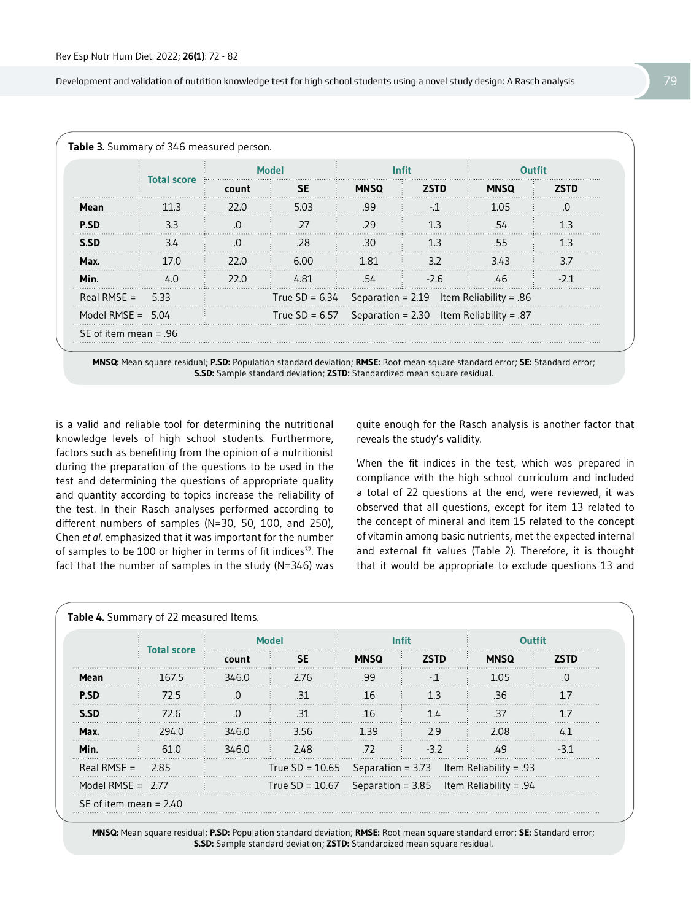|                     | <b>Total score</b> | <b>Model</b> |           | <b>Infit</b>                                              |             | Outfit      |             |
|---------------------|--------------------|--------------|-----------|-----------------------------------------------------------|-------------|-------------|-------------|
|                     |                    | count        | <b>SE</b> | <b>MNSQ</b>                                               | <b>75TD</b> | <b>MNSQ</b> | <b>ZSTD</b> |
| Mean                | 11 R               | 22.O         | 5.03      | .99                                                       |             | 1.05        |             |
| <b>P.SD</b>         | 3.3                |              | -27       | - 29                                                      | 1 २         | 54          | 13          |
| S.SD                | 3.4                |              | .28       | 30                                                        |             | 55          | ี่ 1 3      |
| Max.                | 17 O               | 22 O         | 6.00      | 1.81                                                      | 32          | 343         | 37          |
| Min.                | 4.0                | 22 O         | 4.81      | .54                                                       | $-2.6$      | .46         |             |
| Real RMSE = $5.33$  |                    |              |           | True SD = $6.34$ Separation = 2.19 Item Reliability = .86 |             |             |             |
| Model RMSE = $5.04$ |                    |              |           | True SD = $6.57$ Separation = 2.30 Item Reliability = .87 |             |             |             |

**MNSQ:** Mean square residual; **P.SD:** Population standard deviation; **RMSE:** Root mean square standard error; **SE:** Standard error; **S.SD:** Sample standard deviation; **ZSTD:** Standardized mean square residual.

is a valid and reliable tool for determining the nutritional knowledge levels of high school students. Furthermore, factors such as benefiting from the opinion of a nutritionist during the preparation of the questions to be used in the test and determining the questions of appropriate quality and quantity according to topics increase the reliability of the test. In their Rasch analyses performed according to different numbers of samples (N=30, 50, 100, and 250), Chen *et al*. emphasized that it was important for the number of samples to be 100 or higher in terms of fit indices<sup>37</sup>. The fact that the number of samples in the study (N=346) was

quite enough for the Rasch analysis is another factor that reveals the study's validity.

When the fit indices in the test, which was prepared in compliance with the high school curriculum and included a total of 22 questions at the end, were reviewed, it was observed that all questions, except for item 13 related to the concept of mineral and item 15 related to the concept of vitamin among basic nutrients, met the expected internal and external fit values (Table 2). Therefore, it is thought that it would be appropriate to exclude questions 13 and

|                     | <b>Total score</b> | Model                                                      |           | <b>Infit</b> |             | Outfit                                                     |      |
|---------------------|--------------------|------------------------------------------------------------|-----------|--------------|-------------|------------------------------------------------------------|------|
|                     |                    | count                                                      | <b>SE</b> | <b>MNSQ</b>  | <b>ZSTD</b> | <b>MNSQ</b>                                                | 75TD |
| Mean                | 167.5              | 346.0                                                      | - 2.76    | .99          | - 1         | 1.05                                                       |      |
| <b>P.SD</b>         | 72.5               |                                                            | -31       | .16          |             | .36.                                                       |      |
| S.SD                | 72.6               |                                                            | 31        | 16           |             | -37                                                        |      |
| Max.                | 294.0              | 346.0                                                      | 3.56      | 139          | 2.9         | 2.08                                                       |      |
| Min.                | 61 O               | 346.0                                                      | 2.48      | .72          | $-32$       | .49                                                        |      |
| Real RMSE = $2.85$  |                    |                                                            |           |              |             | True SD = $10.65$ Separation = 3.73 Item Reliability = .93 |      |
| Model RMSF = $2.77$ |                    | True SD = $10.67$ Separation = 3.85 Item Reliability = .94 |           |              |             |                                                            |      |

**MNSQ:** Mean square residual; **P.SD:** Population standard deviation; **RMSE:** Root mean square standard error; **SE:** Standard error; **S.SD:** Sample standard deviation; **ZSTD:** Standardized mean square residual.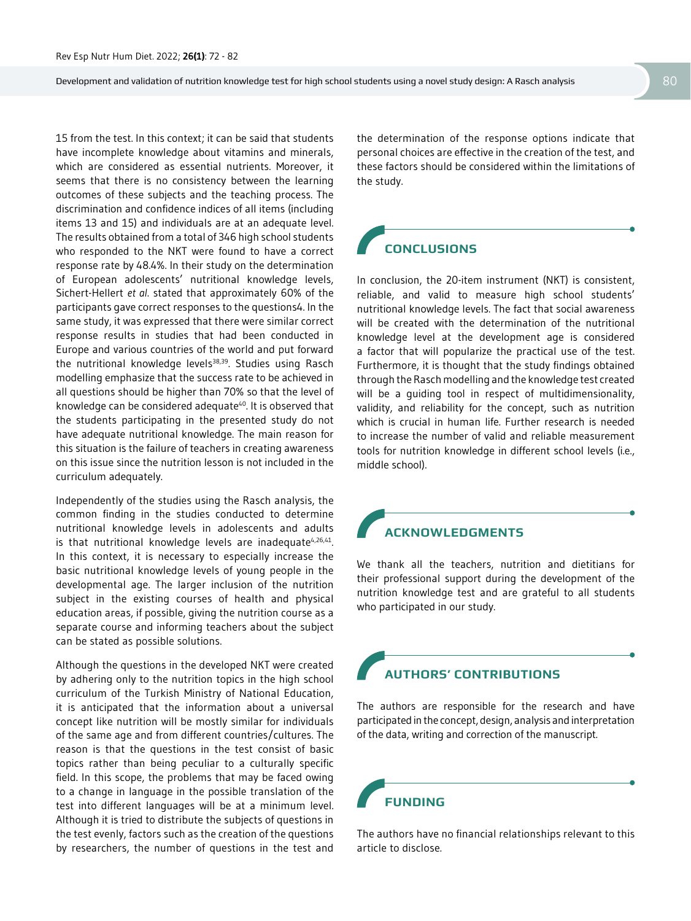15 from the test. In this context; it can be said that students have incomplete knowledge about vitamins and minerals, which are considered as essential nutrients. Moreover, it seems that there is no consistency between the learning outcomes of these subjects and the teaching process. The discrimination and confidence indices of all items (including items 13 and 15) and individuals are at an adequate level. The results obtained from a total of 346 high school students who responded to the NKT were found to have a correct response rate by 48.4%. In their study on the determination of European adolescents' nutritional knowledge levels, Sichert-Hellert *et al*. stated that approximately 60% of the participants gave correct responses to the questions4. In the same study, it was expressed that there were similar correct response results in studies that had been conducted in Europe and various countries of the world and put forward the nutritional knowledge levels<sup>38,39</sup>. Studies using Rasch modelling emphasize that the success rate to be achieved in all questions should be higher than 70% so that the level of knowledge can be considered adequate<sup>40</sup>. It is observed that the students participating in the presented study do not have adequate nutritional knowledge. The main reason for this situation is the failure of teachers in creating awareness on this issue since the nutrition lesson is not included in the curriculum adequately.

Independently of the studies using the Rasch analysis, the common finding in the studies conducted to determine nutritional knowledge levels in adolescents and adults is that nutritional knowledge levels are inadequate<sup>4,26,41</sup>. In this context, it is necessary to especially increase the basic nutritional knowledge levels of young people in the developmental age. The larger inclusion of the nutrition subject in the existing courses of health and physical education areas, if possible, giving the nutrition course as a separate course and informing teachers about the subject can be stated as possible solutions.

Although the questions in the developed NKT were created by adhering only to the nutrition topics in the high school curriculum of the Turkish Ministry of National Education, it is anticipated that the information about a universal concept like nutrition will be mostly similar for individuals of the same age and from different countries/cultures. The reason is that the questions in the test consist of basic topics rather than being peculiar to a culturally specific field. In this scope, the problems that may be faced owing to a change in language in the possible translation of the test into different languages will be at a minimum level. Although it is tried to distribute the subjects of questions in the test evenly, factors such as the creation of the questions by researchers, the number of questions in the test and

the determination of the response options indicate that personal choices are effective in the creation of the test, and these factors should be considered within the limitations of the study.

# **CONCLUSIONS**

In conclusion, the 20-item instrument (NKT) is consistent, reliable, and valid to measure high school students' nutritional knowledge levels. The fact that social awareness will be created with the determination of the nutritional knowledge level at the development age is considered a factor that will popularize the practical use of the test. Furthermore, it is thought that the study findings obtained through the Rasch modelling and the knowledge test created will be a guiding tool in respect of multidimensionality, validity, and reliability for the concept, such as nutrition which is crucial in human life. Further research is needed to increase the number of valid and reliable measurement tools for nutrition knowledge in different school levels (i.e., middle school).

# **ACKNOWLEDGMENTS**

We thank all the teachers, nutrition and dietitians for their professional support during the development of the nutrition knowledge test and are grateful to all students who participated in our study.

# **AUTHORS' CONTRIBUTIONS**

The authors are responsible for the research and have participated in the concept, design, analysis and interpretation of the data, writing and correction of the manuscript.

**FUNDING**

The authors have no financial relationships relevant to this article to disclose.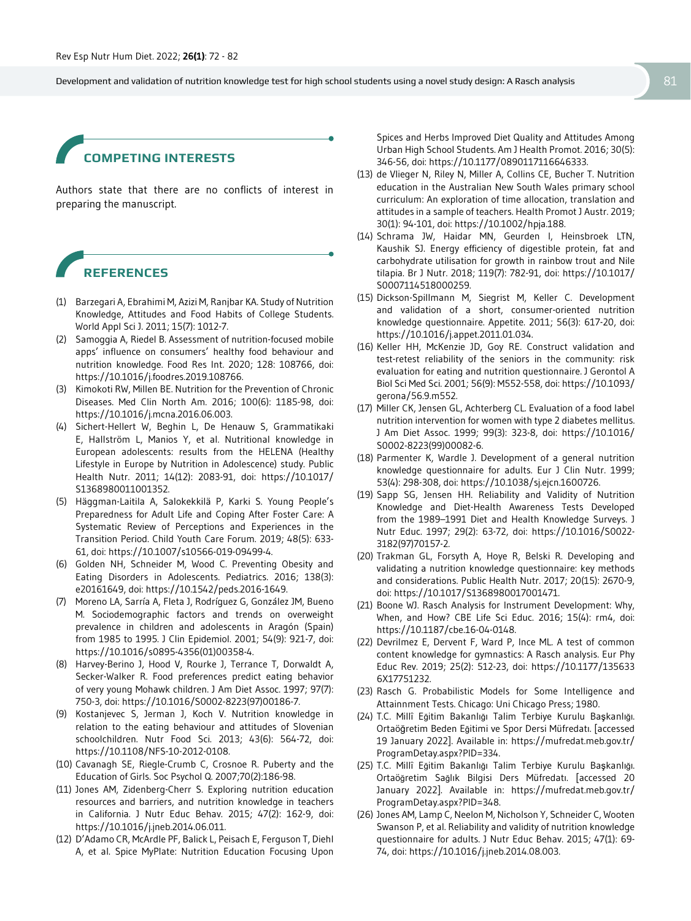# **COMPETING INTERESTS**

Authors state that there are no conflicts of interest in preparing the manuscript.

# **REFERENCES**

- (1) Barzegari A, Ebrahimi M, Azizi M, Ranjbar KA. Study of Nutrition Knowledge, Attitudes and Food Habits of College Students. World Appl Sci J. 2011; 15(7): 1012-7.
- (2) Samoggia A, Riedel B. Assessment of nutrition-focused mobile apps' influence on consumers' healthy food behaviour and nutrition knowledge. Food Res Int. 2020; 128: 108766, doi: https://10.1016/j.foodres.2019.108766.
- (3) Kimokoti RW, Millen BE. Nutrition for the Prevention of Chronic Diseases. Med Clin North Am. 2016; 100(6): 1185-98, doi: https://10.1016/j.mcna.2016.06.003.
- (4) Sichert-Hellert W, Beghin L, De Henauw S, Grammatikaki E, Hallström L, Manios Y, et al. Nutritional knowledge in European adolescents: results from the HELENA (Healthy Lifestyle in Europe by Nutrition in Adolescence) study. Public Health Nutr. 2011; 14(12): 2083-91, doi: https://10.1017/ S1368980011001352.
- (5) Häggman-Laitila A, Salokekkilä P, Karki S. Young People's Preparedness for Adult Life and Coping After Foster Care: A Systematic Review of Perceptions and Experiences in the Transition Period. Child Youth Care Forum. 2019; 48(5): 633- 61, doi: https://10.1007/s10566-019-09499-4.
- (6) Golden NH, Schneider M, Wood C. Preventing Obesity and Eating Disorders in Adolescents. Pediatrics. 2016; 138(3): e20161649, doi: https://10.1542/peds.2016-1649.
- (7) Moreno LA, Sarría A, Fleta J, Rodríguez G, González JM, Bueno M. Sociodemographic factors and trends on overweight prevalence in children and adolescents in Aragón (Spain) from 1985 to 1995. J Clin Epidemiol. 2001; 54(9): 921-7, doi: https://10.1016/s0895-4356(01)00358-4.
- (8) Harvey-Berino J, Hood V, Rourke J, Terrance T, Dorwaldt A, Secker-Walker R. Food preferences predict eating behavior of very young Mohawk children. J Am Diet Assoc. 1997; 97(7): 750-3, doi: https://10.1016/S0002-8223(97)00186-7.
- (9) Kostanjevec S, Jerman J, Koch V. Nutrition knowledge in relation to the eating behaviour and attitudes of Slovenian schoolchildren. Nutr Food Sci. 2013; 43(6): 564-72, doi: https://10.1108/NFS-10-2012-0108.
- (10) Cavanagh SE, Riegle-Crumb C, Crosnoe R. Puberty and the Education of Girls. Soc Psychol Q. 2007;70(2):186-98.
- (11) Jones AM, Zidenberg-Cherr S. Exploring nutrition education resources and barriers, and nutrition knowledge in teachers in California. J Nutr Educ Behav. 2015; 47(2): 162-9, doi: https://10.1016/j.jneb.2014.06.011.
- (12) D'Adamo CR, McArdle PF, Balick L, Peisach E, Ferguson T, Diehl A, et al. Spice MyPlate: Nutrition Education Focusing Upon

Spices and Herbs Improved Diet Quality and Attitudes Among Urban High School Students. Am J Health Promot. 2016; 30(5): 346-56, doi: https://10.1177/0890117116646333.

- (13) de Vlieger N, Riley N, Miller A, Collins CE, Bucher T. Nutrition education in the Australian New South Wales primary school curriculum: An exploration of time allocation, translation and attitudes in a sample of teachers. Health Promot J Austr. 2019; 30(1): 94-101, doi: https://10.1002/hpja.188.
- (14) Schrama JW, Haidar MN, Geurden I, Heinsbroek LTN, Kaushik SJ. Energy efficiency of digestible protein, fat and carbohydrate utilisation for growth in rainbow trout and Nile tilapia. Br J Nutr. 2018; 119(7): 782-91, doi: https://10.1017/ S0007114518000259.
- (15) Dickson-Spillmann M, Siegrist M, Keller C. Development and validation of a short, consumer-oriented nutrition knowledge questionnaire. Appetite. 2011; 56(3): 617-20, doi: https://10.1016/j.appet.2011.01.034.
- (16) Keller HH, McKenzie JD, Goy RE. Construct validation and test-retest reliability of the seniors in the community: risk evaluation for eating and nutrition questionnaire. J Gerontol A Biol Sci Med Sci. 2001; 56(9): M552-558, doi: https://10.1093/ gerona/56.9.m552.
- (17) Miller CK, Jensen GL, Achterberg CL. Evaluation of a food label nutrition intervention for women with type 2 diabetes mellitus. J Am Diet Assoc. 1999; 99(3): 323-8, doi: https://10.1016/ S0002-8223(99)00082-6.
- (18) Parmenter K, Wardle J. Development of a general nutrition knowledge questionnaire for adults. Eur J Clin Nutr. 1999; 53(4): 298-308, doi: https://10.1038/sj.ejcn.1600726.
- (19) Sapp SG, Jensen HH. Reliability and Validity of Nutrition Knowledge and Diet-Health Awareness Tests Developed from the 1989–1991 Diet and Health Knowledge Surveys. J Nutr Educ. 1997; 29(2): 63-72, doi: https://10.1016/S0022- 3182(97)70157-2.
- (20) Trakman GL, Forsyth A, Hoye R, Belski R. Developing and validating a nutrition knowledge questionnaire: key methods and considerations. Public Health Nutr. 2017; 20(15): 2670-9, doi: https://10.1017/S1368980017001471.
- (21) Boone WJ. Rasch Analysis for Instrument Development: Why, When, and How? CBE Life Sci Educ. 2016; 15(4): rm4, doi: https://10.1187/cbe.16-04-0148.
- (22) Devrilmez E, Dervent F, Ward P, Ince ML. A test of common content knowledge for gymnastics: A Rasch analysis. Eur Phy Educ Rev. 2019; 25(2): 512-23, doi: https://10.1177/135633 6X17751232.
- (23) Rasch G. Probabilistic Models for Some Intelligence and Attainnment Tests. Chicago: Uni Chicago Press; 1980.
- (24) T.C. Millî Eğitim Bakanlığı Talim Terbiye Kurulu Başkanlığı. Ortaöğretim Beden Eğitimi ve Spor Dersi Müfredatı. [accessed 19 January 2022]. Available in: https://mufredat.meb.gov.tr/ ProgramDetay.aspx?PID=334.
- (25) T.C. Millî Eğitim Bakanlığı Talim Terbiye Kurulu Başkanlığı. Ortaöğretim Sağlık Bilgisi Ders Müfredatı. [accessed 20 January 2022]. Available in: https://mufredat.meb.gov.tr/ ProgramDetay.aspx?PID=348.
- (26) Jones AM, Lamp C, Neelon M, Nicholson Y, Schneider C, Wooten Swanson P, et al. Reliability and validity of nutrition knowledge questionnaire for adults. J Nutr Educ Behav. 2015; 47(1): 69- 74, doi: https://10.1016/j.jneb.2014.08.003.